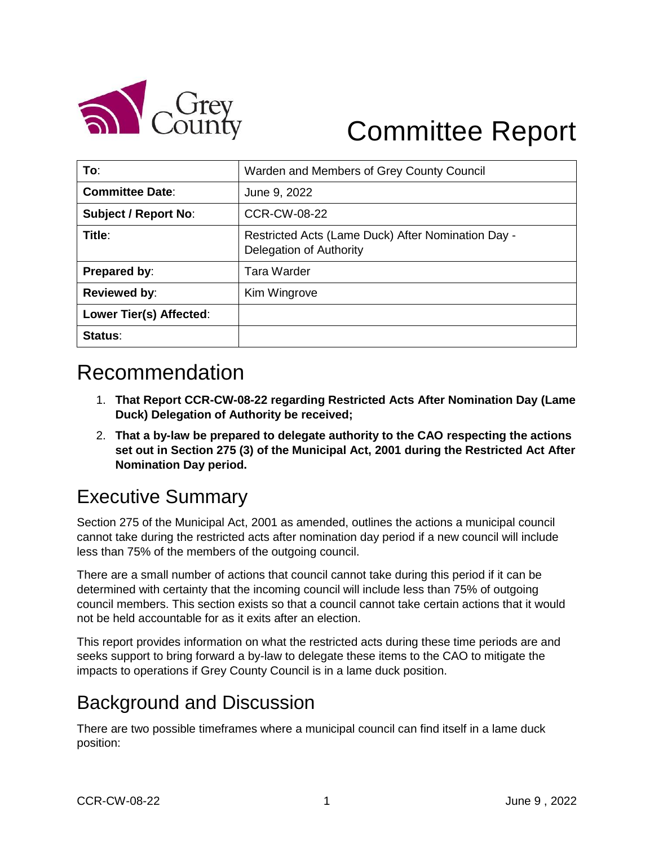

# Committee Report

| To:                         | Warden and Members of Grey County Council                                     |
|-----------------------------|-------------------------------------------------------------------------------|
| <b>Committee Date:</b>      | June 9, 2022                                                                  |
| <b>Subject / Report No:</b> | <b>CCR-CW-08-22</b>                                                           |
| Title:                      | Restricted Acts (Lame Duck) After Nomination Day -<br>Delegation of Authority |
| Prepared by:                | Tara Warder                                                                   |
| <b>Reviewed by:</b>         | Kim Wingrove                                                                  |
| Lower Tier(s) Affected:     |                                                                               |
| Status:                     |                                                                               |

## Recommendation

- 1. **That Report CCR-CW-08-22 regarding Restricted Acts After Nomination Day (Lame Duck) Delegation of Authority be received;**
- 2. **That a by-law be prepared to delegate authority to the CAO respecting the actions set out in Section 275 (3) of the Municipal Act, 2001 during the Restricted Act After Nomination Day period.**

### Executive Summary

Section 275 of the Municipal Act, 2001 as amended, outlines the actions a municipal council cannot take during the restricted acts after nomination day period if a new council will include less than 75% of the members of the outgoing council.

There are a small number of actions that council cannot take during this period if it can be determined with certainty that the incoming council will include less than 75% of outgoing council members. This section exists so that a council cannot take certain actions that it would not be held accountable for as it exits after an election.

This report provides information on what the restricted acts during these time periods are and seeks support to bring forward a by-law to delegate these items to the CAO to mitigate the impacts to operations if Grey County Council is in a lame duck position.

### Background and Discussion

There are two possible timeframes where a municipal council can find itself in a lame duck position: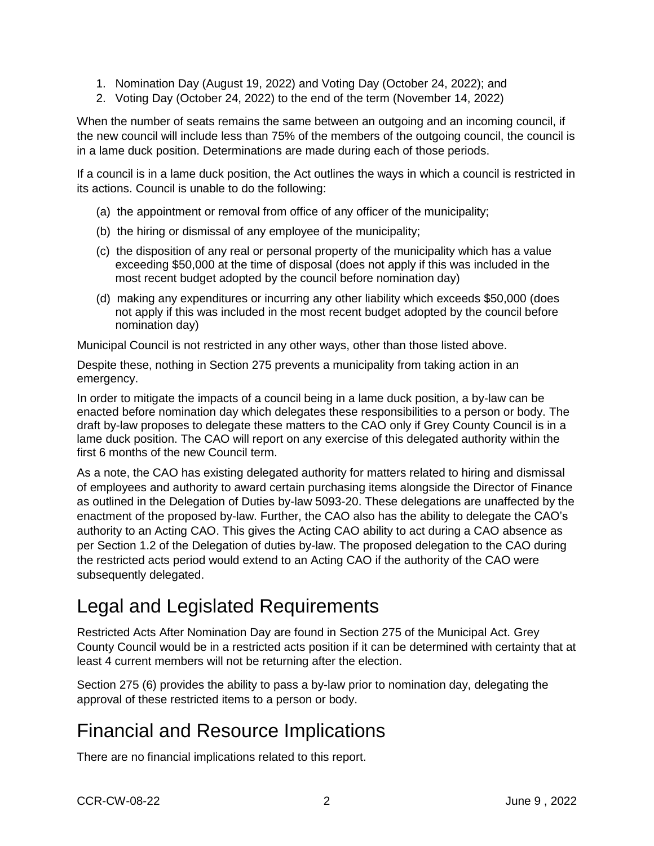- 1. Nomination Day (August 19, 2022) and Voting Day (October 24, 2022); and
- 2. Voting Day (October 24, 2022) to the end of the term (November 14, 2022)

When the number of seats remains the same between an outgoing and an incoming council, if the new council will include less than 75% of the members of the outgoing council, the council is in a lame duck position. Determinations are made during each of those periods.

If a council is in a lame duck position, the Act outlines the ways in which a council is restricted in its actions. Council is unable to do the following:

- (a) the appointment or removal from office of any officer of the municipality;
- (b) the hiring or dismissal of any employee of the municipality;
- (c) the disposition of any real or personal property of the municipality which has a value exceeding \$50,000 at the time of disposal (does not apply if this was included in the most recent budget adopted by the council before nomination day)
- (d) making any expenditures or incurring any other liability which exceeds \$50,000 (does not apply if this was included in the most recent budget adopted by the council before nomination day)

Municipal Council is not restricted in any other ways, other than those listed above.

Despite these, nothing in Section 275 prevents a municipality from taking action in an emergency.

In order to mitigate the impacts of a council being in a lame duck position, a by-law can be enacted before nomination day which delegates these responsibilities to a person or body. The draft by-law proposes to delegate these matters to the CAO only if Grey County Council is in a lame duck position. The CAO will report on any exercise of this delegated authority within the first 6 months of the new Council term.

As a note, the CAO has existing delegated authority for matters related to hiring and dismissal of employees and authority to award certain purchasing items alongside the Director of Finance as outlined in the Delegation of Duties by-law 5093-20. These delegations are unaffected by the enactment of the proposed by-law. Further, the CAO also has the ability to delegate the CAO's authority to an Acting CAO. This gives the Acting CAO ability to act during a CAO absence as per Section 1.2 of the Delegation of duties by-law. The proposed delegation to the CAO during the restricted acts period would extend to an Acting CAO if the authority of the CAO were subsequently delegated.

#### Legal and Legislated Requirements

Restricted Acts After Nomination Day are found in Section 275 of the Municipal Act. Grey County Council would be in a restricted acts position if it can be determined with certainty that at least 4 current members will not be returning after the election.

Section 275 (6) provides the ability to pass a by-law prior to nomination day, delegating the approval of these restricted items to a person or body.

#### Financial and Resource Implications

There are no financial implications related to this report.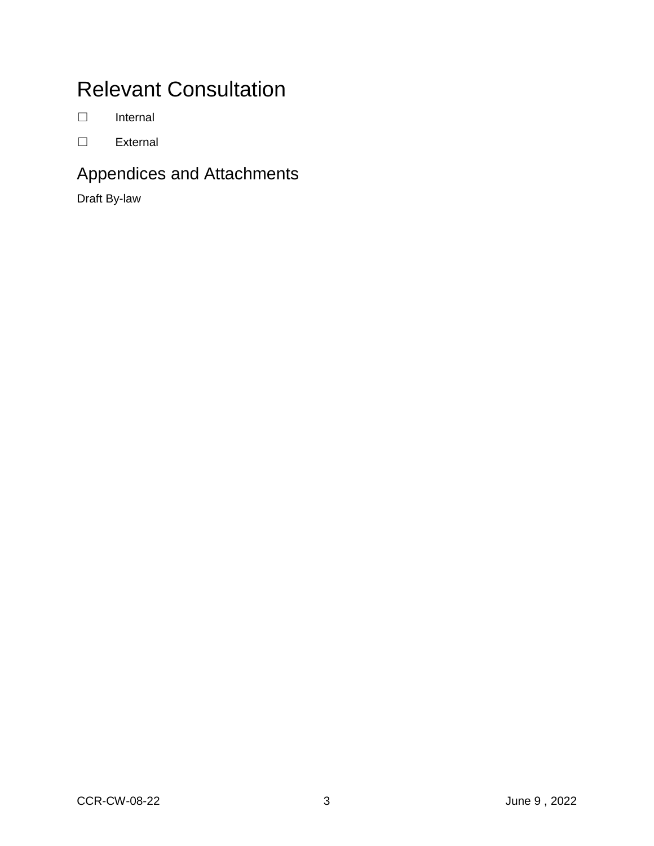## Relevant Consultation

☐ Internal

☐ External

#### Appendices and Attachments

Draft By-law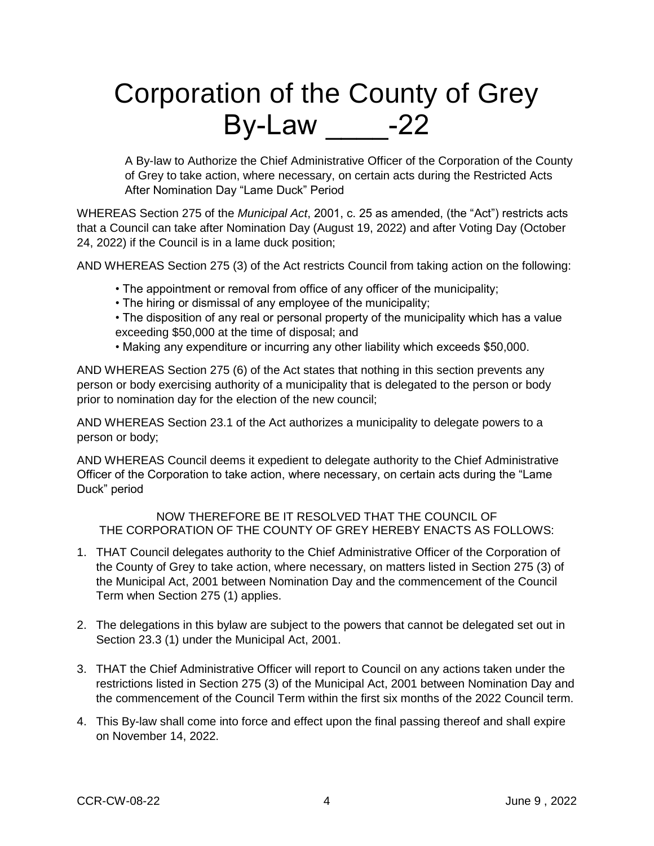## Corporation of the County of Grey By-Law  $-22$

A By-law to Authorize the Chief Administrative Officer of the Corporation of the County of Grey to take action, where necessary, on certain acts during the Restricted Acts After Nomination Day "Lame Duck" Period

WHEREAS Section 275 of the *Municipal Act*, 2001, c. 25 as amended, (the "Act") restricts acts that a Council can take after Nomination Day (August 19, 2022) and after Voting Day (October 24, 2022) if the Council is in a lame duck position;

AND WHEREAS Section 275 (3) of the Act restricts Council from taking action on the following:

- The appointment or removal from office of any officer of the municipality;
- The hiring or dismissal of any employee of the municipality;
- The disposition of any real or personal property of the municipality which has a value exceeding \$50,000 at the time of disposal; and
- Making any expenditure or incurring any other liability which exceeds \$50,000.

AND WHEREAS Section 275 (6) of the Act states that nothing in this section prevents any person or body exercising authority of a municipality that is delegated to the person or body prior to nomination day for the election of the new council;

AND WHEREAS Section 23.1 of the Act authorizes a municipality to delegate powers to a person or body;

AND WHEREAS Council deems it expedient to delegate authority to the Chief Administrative Officer of the Corporation to take action, where necessary, on certain acts during the "Lame Duck" period

NOW THEREFORE BE IT RESOLVED THAT THE COUNCIL OF THE CORPORATION OF THE COUNTY OF GREY HEREBY ENACTS AS FOLLOWS:

- 1. THAT Council delegates authority to the Chief Administrative Officer of the Corporation of the County of Grey to take action, where necessary, on matters listed in Section 275 (3) of the Municipal Act, 2001 between Nomination Day and the commencement of the Council Term when Section 275 (1) applies.
- 2. The delegations in this bylaw are subject to the powers that cannot be delegated set out in Section 23.3 (1) under the Municipal Act, 2001.
- 3. THAT the Chief Administrative Officer will report to Council on any actions taken under the restrictions listed in Section 275 (3) of the Municipal Act, 2001 between Nomination Day and the commencement of the Council Term within the first six months of the 2022 Council term.
- 4. This By-law shall come into force and effect upon the final passing thereof and shall expire on November 14, 2022.